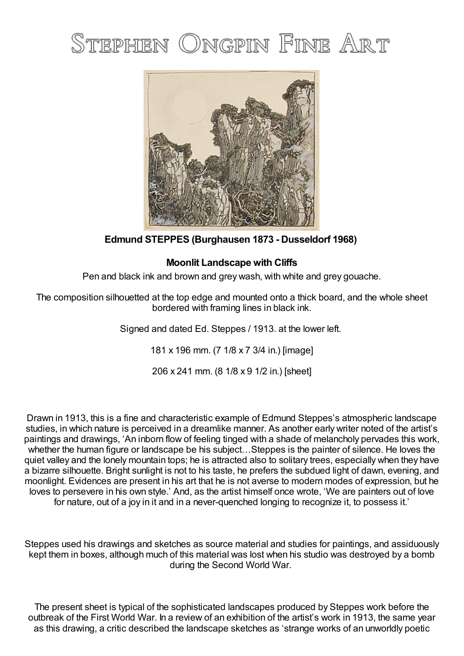## STEPHEN ONGPIN FINE ART



**Edmund STEPPES (Burghausen 1873 - Dusseldorf 1968)**

## **Moonlit Landscape with Cliffs**

Pen and black ink and brown and grey wash, with white and grey gouache.

The composition silhouetted at the top edge and mounted onto a thick board, and the whole sheet bordered with framing lines in black ink.

Signed and dated Ed. Steppes / 1913. at the lower left.

181 x 196 mm. (7 1/8 x 7 3/4 in.) [image]

206 x 241 mm. (8 1/8 x 9 1/2 in.) [sheet]

Drawn in 1913, this is a fine and characteristic example of Edmund Steppes's atmospheric landscape studies, in which nature is perceived in a dreamlike manner. As another early writer noted of the artist's paintings and drawings, 'An inborn flow of feeling tinged with a shade of melancholy pervades this work, whether the human figure or landscape be his subject…Steppes is the painter of silence. He loves the quiet valley and the lonely mountain tops; he is attracted also to solitary trees, especially when they have a bizarre silhouette. Bright sunlight is not to his taste, he prefers the subdued light of dawn, evening, and moonlight. Evidences are present in his art that he is not averse to modern modes of expression, but he loves to persevere in his own style.' And, as the artist himself once wrote, 'We are painters out of love for nature, out of a joy in it and in a never-quenched longing to recognize it, to possess it.'

Steppes used his drawings and sketches as source material and studies for paintings, and assiduously kept them in boxes, although much of this material was lost when his studio was destroyed by a bomb during the Second World War.

The present sheet is typical of the sophisticated landscapes produced by Steppes work before the outbreak of the First World War. In a review of an exhibition of the artist's work in 1913, the same year as this drawing, a critic described the landscape sketches as 'strange works of an unworldly poetic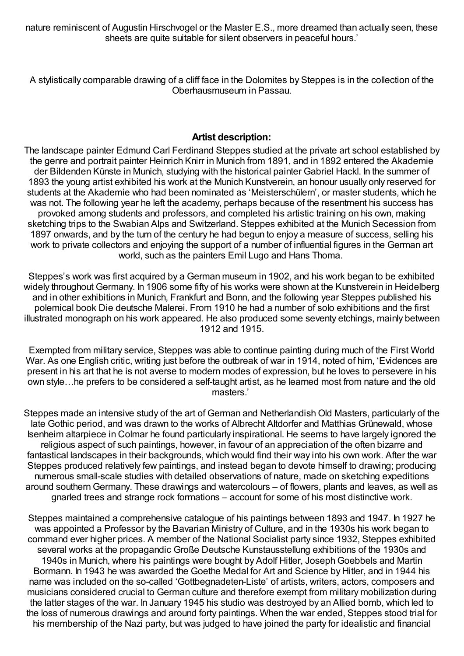nature reminiscent of Augustin Hirschvogel or the Master E.S., more dreamed than actually seen, these sheets are quite suitable for silent observers in peaceful hours.'

A stylistically comparable drawing of a cliff face in the Dolomites by Steppes is in the collection of the Oberhausmuseum in Passau.

## **Artist description:**

The landscape painter Edmund Carl Ferdinand Steppes studied at the private art school established by the genre and portrait painter Heinrich Knirr in Munich from 1891, and in 1892 entered the Akademie der Bildenden Künste in Munich, studying with the historical painter Gabriel Hackl. In the summer of 1893 the young artist exhibited his work at the Munich Kunstverein, an honour usually only reserved for students at the Akademie who had been nominated as 'Meisterschülern', or master students, which he was not. The following year he left the academy, perhaps because of the resentment his success has provoked among students and professors, and completed his artistic training on his own, making sketching trips to the Swabian Alps and Switzerland. Steppes exhibited at the Munich Secession from 1897 onwards, and by the turn of the century he had begun to enjoy a measure of success, selling his work to private collectors and enjoying the support of a number of influential figures in the German art world, such as the painters Emil Lugo and Hans Thoma.

Steppes's work was first acquired by a German museum in 1902, and his work began to be exhibited widely throughout Germany. In 1906 some fifty of his works were shown at the Kunstverein in Heidelberg and in other exhibitions in Munich, Frankfurt and Bonn, and the following year Steppes published his polemical book Die deutsche Malerei. From 1910 he had a number of solo exhibitions and the first illustrated monograph on his work appeared. He also produced some seventy etchings, mainly between 1912 and 1915.

Exempted from military service, Steppes was able to continue painting during much of the First World War. As one English critic, writing just before the outbreak of war in 1914, noted of him, 'Evidences are present in his art that he is not averse to modern modes of expression, but he loves to persevere in his own style…he prefers to be considered a self-taught artist, as he learned most from nature and the old masters.'

Steppes made an intensive study of the art of German and Netherlandish Old Masters, particularly of the late Gothic period, and was drawn to the works of Albrecht Altdorfer and Matthias Grünewald, whose Isenheim altarpiece in Colmar he found particularly inspirational. He seems to have largely ignored the religious aspect of such paintings, however, in favour of an appreciation of the often bizarre and fantastical landscapes in their backgrounds, which would find their way into his own work. After the war Steppes produced relatively few paintings, and instead began to devote himself to drawing; producing numerous small-scale studies with detailed observations of nature, made on sketching expeditions around southernGermany. These drawings and watercolours – of flowers, plants and leaves, as well as gnarled trees and strange rock formations – account for some of his most distinctive work.

Steppes maintained a comprehensive catalogue of his paintings between 1893 and 1947. In 1927 he was appointed a Professor by the Bavarian Ministry of Culture, and in the 1930s his work began to command ever higher prices. A member of the National Socialist party since 1932, Steppes exhibited several works at the propagandic Große Deutsche Kunstausstellung exhibitions of the 1930s and 1940s in Munich, where his paintings were bought by Adolf Hitler, JosephGoebbels and Martin Bormann. In 1943 he was awarded the Goethe Medal for Art and Science by Hitler, and in 1944 his name was included on the so-called 'Gottbegnadeten-Liste' of artists, writers, actors, composers and musicians considered crucial to German culture and therefore exempt from military mobilization during the latter stages of the war. In January 1945 his studio was destroyed by an Allied bomb, which led to the loss of numerous drawings and around forty paintings. When the war ended, Steppes stood trial for his membership of the Nazi party, but was judged to have joined the party for idealistic and financial